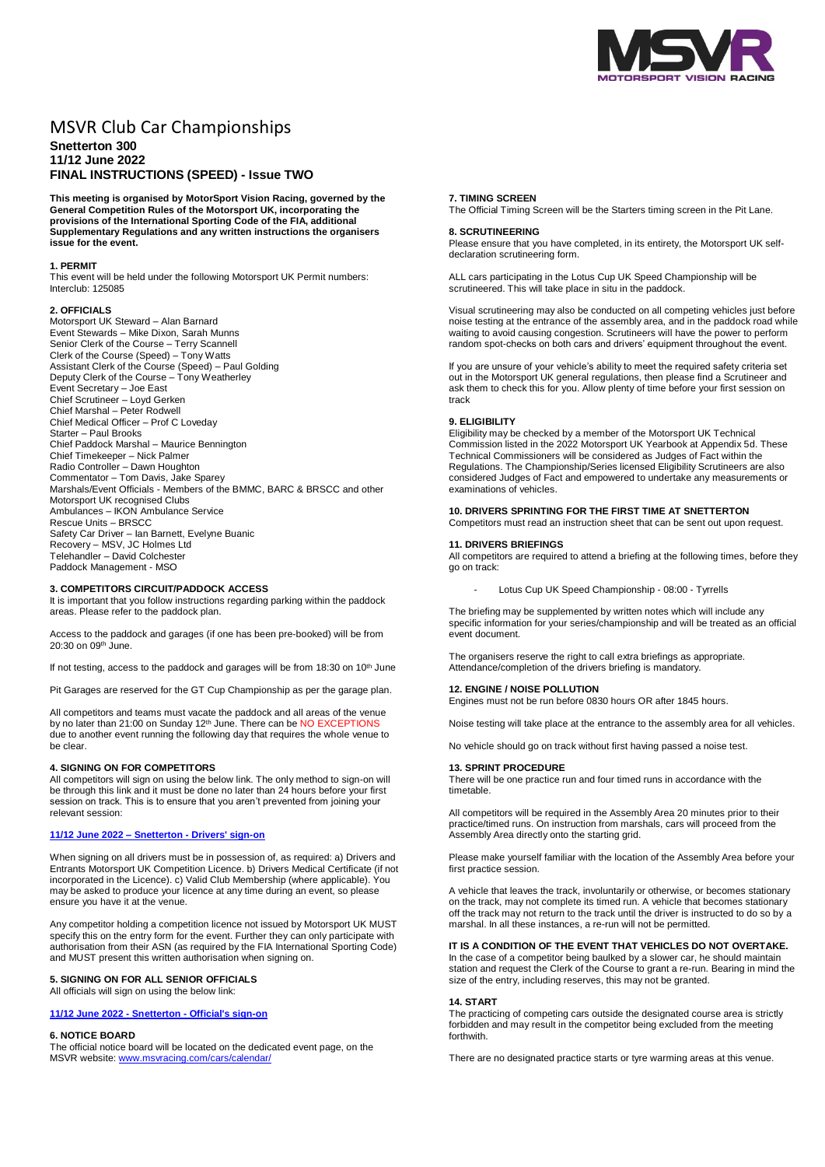

# MSVR Club Car Championships

# **Snetterton 300 11/12 June 2022 FINAL INSTRUCTIONS (SPEED) - Issue TWO**

**This meeting is organised by MotorSport Vision Racing, governed by the General Competition Rules of the Motorsport UK, incorporating the provisions of the International Sporting Code of the FIA, additional Supplementary Regulations and any written instructions the organisers issue for the event.**

## **1. PERMIT**

This event will be held under the following Motorsport UK Permit numbers: Interclub: 125085

#### **2. OFFICIALS**

Motorsport UK Steward – Alan Barnard Event Stewards – Mike Dixon, Sarah Munns Senior Clerk of the Course – Terry Scannell Clerk of the Course (Speed) – Tony Watts Assistant Clerk of the Course (Speed) – Paul Golding Deputy Clerk of the Course – Tony Weatherley Event Secretary – Joe East Chief Scrutineer – Loyd Gerken Chief Marshal – Peter Rodwell Chief Medical Officer – Prof C Loveday Starter – Paul Brooks Chief Paddock Marshal – Maurice Bennington Chief Timekeeper – Nick Palmer Radio Controller – Dawn Houghton Commentator – Tom Davis, Jake Sparey Marshals/Event Officials - Members of the BMMC, BARC & BRSCC and other Motorsport UK recognised Clubs Ambulances – IKON Ambulance Service Rescue Units – BRSCC Safety Car Driver – Ian Barnett, Evelyne Buanic Recovery – MSV, JC Holmes Ltd Telehandler – David Colchester Paddock Management - MSO

## **3. COMPETITORS CIRCUIT/PADDOCK ACCESS**

It is important that you follow instructions regarding parking within the paddock areas. Please refer to the paddock plan.

Access to the paddock and garages (if one has been pre-booked) will be from 20:30 on 09th June.

If not testing, access to the paddock and garages will be from 18:30 on 10<sup>th</sup> June

Pit Garages are reserved for the GT Cup Championship as per the garage plan.

All competitors and teams must vacate the paddock and all areas of the venue by no later than 21:00 on Sunday 12<sup>th</sup> June. There can be NO EXCEPTIONS due to another event running the following day that requires the whole venue to be clear.

# **4. SIGNING ON FOR COMPETITORS**

All competitors will sign on using the below link. The only method to sign-on will be through this link and it must be done no later than 24 hours before your first session on track. This is to ensure that you aren't prevented from joining your relevant session:

#### **11/12 June 2022 – Snetterton - [Drivers' sign-on](https://racing.msv.com/CheckIn/994eafd7-4504-4607-8d25-9b8bdca24330)**

When signing on all drivers must be in possession of, as required: a) Drivers and Entrants Motorsport UK Competition Licence. b) Drivers Medical Certificate (if not incorporated in the Licence). c) Valid Club Membership (where applicable). You may be asked to produce your licence at any time during an event, so please ensure you have it at the venue.

Any competitor holding a competition licence not issued by Motorsport UK MUST specify this on the entry form for the event. Further they can only participate with authorisation from their ASN (as required by the FIA International Sporting Code) and MUST present this written authorisation when signing on.

# **5. SIGNING ON FOR ALL SENIOR OFFICIALS**

All officials will sign on using the below link:

**11/12 June 2022 - Snetterton - [Official's sign-on](https://racing.msv.com/CheckIn/Officals/994eafd7-4504-4607-8d25-9b8bdca24330)**

#### **6. NOTICE BOARD**

The official notice board will be located on the dedicated event page, on the MSVR website: [www.msvracing.com/cars/calendar/](http://www.msvracing.com/cars/calendar/)

#### **7. TIMING SCREEN**

The Official Timing Screen will be the Starters timing screen in the Pit Lane.

# **8. SCRUTINEERING**

Please ensure that you have completed, in its entirety, the Motorsport UK selfdeclaration scrutineering form.

ALL cars participating in the Lotus Cup UK Speed Championship will be scrutineered. This will take place in situ in the paddock.

Visual scrutineering may also be conducted on all competing vehicles just before noise testing at the entrance of the assembly area, and in the paddock road while waiting to avoid causing congestion. Scrutineers will have the power to perform random spot-checks on both cars and drivers' equipment throughout the event.

If you are unsure of your vehicle's ability to meet the required safety criteria set out in the Motorsport UK general regulations, then please find a Scrutineer and ask them to check this for you. Allow plenty of time before your first session on track

# **9. ELIGIBILITY**

Eligibility may be checked by a member of the Motorsport UK Technical Commission listed in the 2022 Motorsport UK Yearbook at Appendix 5d. These Technical Commissioners will be considered as Judges of Fact within the Regulations. The Championship/Series licensed Eligibility Scrutineers are also considered Judges of Fact and empowered to undertake any measurements or examinations of vehicles.

# **10. DRIVERS SPRINTING FOR THE FIRST TIME AT SNETTERTON**

Competitors must read an instruction sheet that can be sent out upon request.

#### **11. DRIVERS BRIEFINGS**

All competitors are required to attend a briefing at the following times, before they go on track:

Lotus Cup UK Speed Championship - 08:00 - Tyrrells

The briefing may be supplemented by written notes which will include any specific information for your series/championship and will be treated as an official event document.

The organisers reserve the right to call extra briefings as appropriate. Attendance/completion of the drivers briefing is mandatory.

# **12. ENGINE / NOISE POLLUTION**

Engines must not be run before 0830 hours OR after 1845 hours.

Noise testing will take place at the entrance to the assembly area for all vehicles.

No vehicle should go on track without first having passed a noise test.

#### **13. SPRINT PROCEDURE**

There will be one practice run and four timed runs in accordance with the timetable.

All competitors will be required in the Assembly Area 20 minutes prior to their practice/timed runs. On instruction from marshals, cars will proceed from the Assembly Area directly onto the starting grid.

Please make yourself familiar with the location of the Assembly Area before your first practice session.

A vehicle that leaves the track, involuntarily or otherwise, or becomes stationary on the track, may not complete its timed run. A vehicle that becomes stationary off the track may not return to the track until the driver is instructed to do so by a marshal. In all these instances, a re-run will not be permitted.

**IT IS A CONDITION OF THE EVENT THAT VEHICLES DO NOT OVERTAKE.** In the case of a competitor being baulked by a slower car, he should maintain station and request the Clerk of the Course to grant a re-run. Bearing in mind the size of the entry, including reserves, this may not be granted.

#### **14. START**

The practicing of competing cars outside the designated course area is strictly forbidden and may result in the competitor being excluded from the meeting forthwith.

There are no designated practice starts or tyre warming areas at this venue.